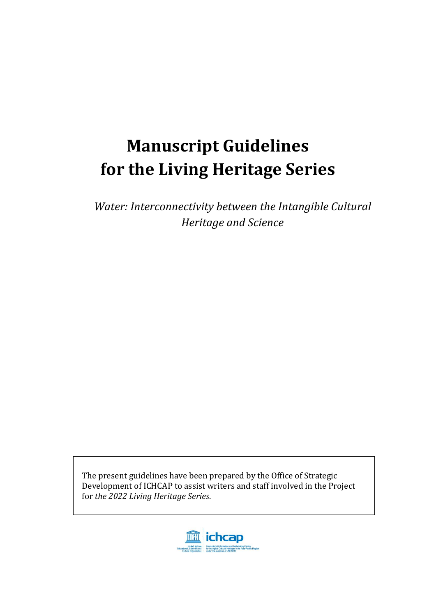# **Manuscript Guidelines for the Living Heritage Series**

*Water: Interconnectivity between the Intangible Cultural Heritage and Science*

The present guidelines have been prepared by the Office of Strategic Development of ICHCAP to assist writers and staff involved in the Project for *the 2022 Living Heritage Series*.

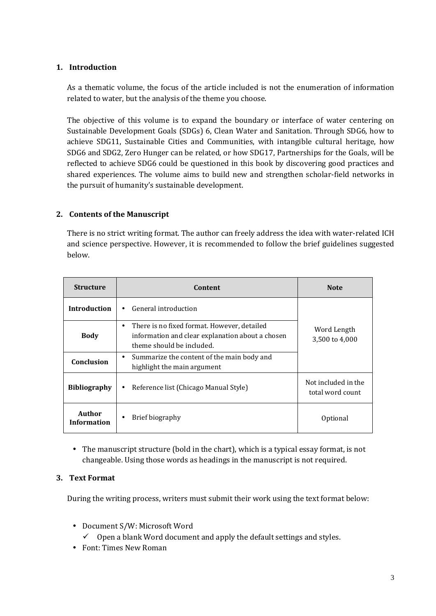#### **1. Introduction**

As a thematic volume, the focus of the article included is not the enumeration of information related to water, but the analysis of the theme you choose.

The objective of this volume is to expand the boundary or interface of water centering on Sustainable Development Goals (SDGs) 6, Clean Water and Sanitation. Through SDG6, how to achieve SDG11, Sustainable Cities and Communities, with intangible cultural heritage, how SDG6 and SDG2, Zero Hunger can be related, or how SDG17, Partnerships for the Goals, will be reflected to achieve SDG6 could be questioned in this book by discovering good practices and shared experiences. The volume aims to build new and strengthen scholar-field networks in the pursuit of humanity's sustainable development.

#### **2. Contents of the Manuscript**

There is no strict writing format. The author can freely address the idea with water-related ICH and science perspective. However, it is recommended to follow the brief guidelines suggested below.

| <b>Structure</b>             | Content                                                                                                                           | <b>Note</b>                   |  |
|------------------------------|-----------------------------------------------------------------------------------------------------------------------------------|-------------------------------|--|
| <b>Introduction</b>          | General introduction                                                                                                              |                               |  |
| <b>Body</b>                  | There is no fixed format. However, detailed<br>٠<br>information and clear explanation about a chosen<br>theme should be included. | Word Length<br>3,500 to 4,000 |  |
| Conclusion                   | Summarize the content of the main body and<br>٠<br>highlight the main argument                                                    |                               |  |
| <b>Bibliography</b>          | Reference list (Chicago Manual Style)<br>٠                                                                                        |                               |  |
| Author<br><b>Information</b> | Brief biography<br>٠                                                                                                              | Optional                      |  |

 The manuscript structure (bold in the chart), which is a typical essay format, is not changeable. Using those words as headings in the manuscript is not required.

#### **3. Text Format**

During the writing process, writers must submit their work using the text format below:

Document S/W: Microsoft Word

 $\checkmark$  Open a blank Word document and apply the default settings and styles.

Font: Times New Roman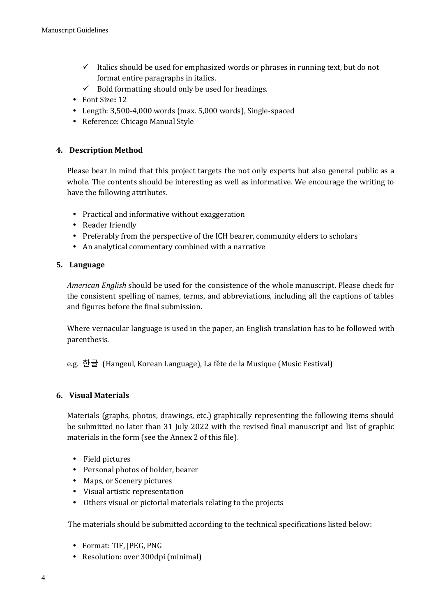- $\checkmark$  Italics should be used for emphasized words or phrases in running text, but do not format entire paragraphs in italics.
- $\checkmark$  Bold formatting should only be used for headings.
- Font Size**:** 12
- Length: 3,500-4,000 words (max. 5,000 words), Single-spaced
- Reference: Chicago Manual Style

#### **4. Description Method**

Please bear in mind that this project targets the not only experts but also general public as a whole. The contents should be interesting as well as informative. We encourage the writing to have the following attributes.

- Practical and informative without exaggeration
- Reader friendly
- Preferably from the perspective of the ICH bearer, community elders to scholars
- An analytical commentary combined with a narrative

#### **5. Language**

*American English* should be used for the consistence of the whole manuscript. Please check for the consistent spelling of names, terms, and abbreviations, including all the captions of tables and figures before the final submission.

Where vernacular language is used in the paper, an English translation has to be followed with parenthesis.

e.g. 한글 (Hangeul, Korean Language), La fête de la Musique (Music Festival)

#### **6. Visual Materials**

Materials (graphs, photos, drawings, etc.) graphically representing the following items should be submitted no later than 31 July 2022 with the revised final manuscript and list of graphic materials in the form (see the Annex 2 of this file).

- Field pictures
- Personal photos of holder, bearer
- Maps, or Scenery pictures
- Visual artistic representation
- Others visual or pictorial materials relating to the projects

The materials should be submitted according to the technical specifications listed below:

- Format: TIF, JPEG, PNG
- Resolution: over 300dpi (minimal)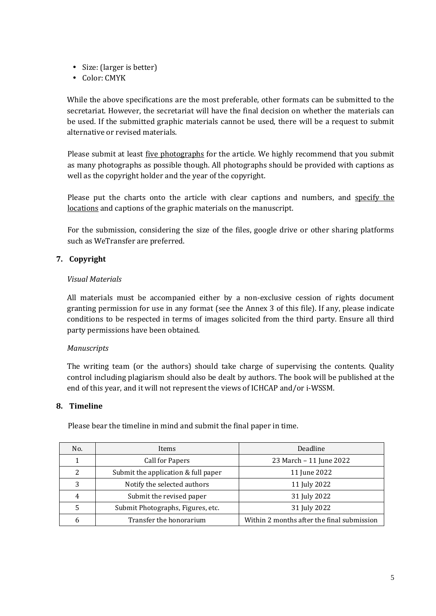- Size: (larger is better)
- Color: CMYK

While the above specifications are the most preferable, other formats can be submitted to the secretariat. However, the secretariat will have the final decision on whether the materials can be used. If the submitted graphic materials cannot be used, there will be a request to submit alternative or revised materials.

Please submit at least five photographs for the article. We highly recommend that you submit as many photographs as possible though. All photographs should be provided with captions as well as the copyright holder and the year of the copyright.

Please put the charts onto the article with clear captions and numbers, and specify the locations and captions of the graphic materials on the manuscript.

For the submission, considering the size of the files, google drive or other sharing platforms such as WeTransfer are preferred.

#### **7. Copyright**

#### *Visual Materials*

All materials must be accompanied either by a non-exclusive cession of rights document granting permission for use in any format (see the Annex 3 of this file). If any, please indicate conditions to be respected in terms of images solicited from the third party. Ensure all third party permissions have been obtained.

#### *Manuscripts*

The writing team (or the authors) should take charge of supervising the contents. Quality control including plagiarism should also be dealt by authors. The book will be published at the end of this year, and it will not represent the views of ICHCAP and/or i-WSSM.

#### **8. Timeline**

Please bear the timeline in mind and submit the final paper in time.

| No. | Items                               | Deadline                                   |  |
|-----|-------------------------------------|--------------------------------------------|--|
|     | <b>Call for Papers</b>              | 23 March - 11 June 2022                    |  |
| 2   | Submit the application & full paper | 11 June 2022                               |  |
| 3   | Notify the selected authors         | 11 July 2022                               |  |
| 4   | Submit the revised paper            | 31 July 2022                               |  |
|     | Submit Photographs, Figures, etc.   | 31 July 2022                               |  |
| 6   | Transfer the honorarium             | Within 2 months after the final submission |  |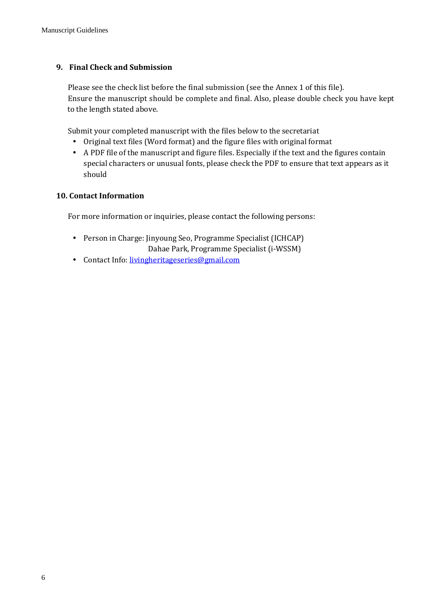#### **9. Final Check and Submission**

Please see the check list before the final submission (see the Annex 1 of this file). Ensure the manuscript should be complete and final. Also, please double check you have kept to the length stated above.

Submit your completed manuscript with the files below to the secretariat

- Original text files (Word format) and the figure files with original format
- A PDF file of the manuscript and figure files. Especially if the text and the figures contain special characters or unusual fonts, please check the PDF to ensure that text appears as it should

#### **10. Contact Information**

For more information or inquiries, please contact the following persons:

- Person in Charge: Jinyoung Seo, Programme Specialist (ICHCAP) Dahae Park, Programme Specialist (i-WSSM)
- Contact Info: [livingheritageseries@gmail.com](mailto:livingheritageseries@gmail.com)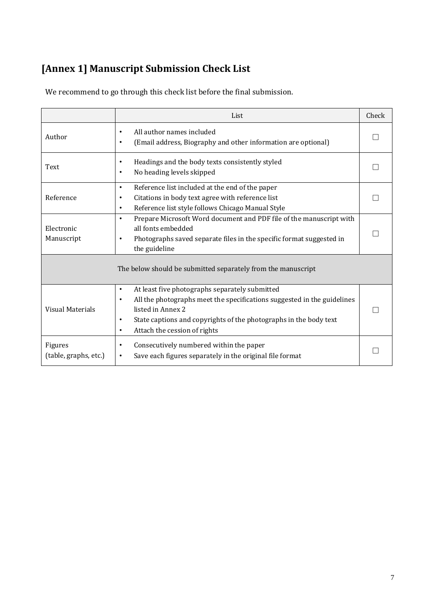## **[Annex 1] Manuscript Submission Check List**

|                                  | List                                                                                                                                                                                                                                                                                                    | Check |
|----------------------------------|---------------------------------------------------------------------------------------------------------------------------------------------------------------------------------------------------------------------------------------------------------------------------------------------------------|-------|
| Author                           | All author names included<br>$\bullet$<br>(Email address, Biography and other information are optional)<br>$\bullet$                                                                                                                                                                                    |       |
| Text                             | Headings and the body texts consistently styled<br>$\bullet$<br>No heading levels skipped<br>٠                                                                                                                                                                                                          |       |
| Reference                        | Reference list included at the end of the paper<br>$\bullet$<br>Citations in body text agree with reference list<br>٠<br>Reference list style follows Chicago Manual Style<br>$\bullet$                                                                                                                 |       |
| Electronic<br>Manuscript         | Prepare Microsoft Word document and PDF file of the manuscript with<br>$\bullet$<br>all fonts embedded<br>Photographs saved separate files in the specific format suggested in<br>٠<br>the guideline                                                                                                    |       |
|                                  | The below should be submitted separately from the manuscript                                                                                                                                                                                                                                            |       |
| <b>Visual Materials</b>          | At least five photographs separately submitted<br>$\bullet$<br>All the photographs meet the specifications suggested in the guidelines<br>$\bullet$<br>listed in Annex 2<br>State captions and copyrights of the photographs in the body text<br>$\bullet$<br>Attach the cession of rights<br>$\bullet$ |       |
| Figures<br>(table, graphs, etc.) | Consecutively numbered within the paper<br>Save each figures separately in the original file format                                                                                                                                                                                                     |       |

We recommend to go through this check list before the final submission.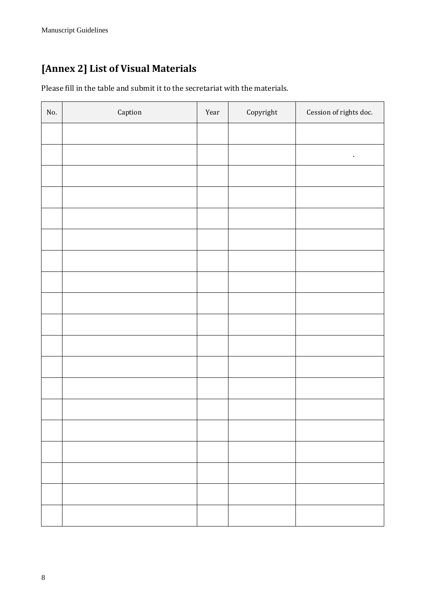## **[Annex 2] List of Visual Materials**

Please fill in the table and submit it to the secretariat with the materials.

| $\rm No.$ | ${\sf Captain}$ | Year | $\operatorname{Copyright}$ | Cession of rights doc. |
|-----------|-----------------|------|----------------------------|------------------------|
|           |                 |      |                            |                        |
|           |                 |      |                            | $\bullet$              |
|           |                 |      |                            |                        |
|           |                 |      |                            |                        |
|           |                 |      |                            |                        |
|           |                 |      |                            |                        |
|           |                 |      |                            |                        |
|           |                 |      |                            |                        |
|           |                 |      |                            |                        |
|           |                 |      |                            |                        |
|           |                 |      |                            |                        |
|           |                 |      |                            |                        |
|           |                 |      |                            |                        |
|           |                 |      |                            |                        |
|           |                 |      |                            |                        |
|           |                 |      |                            |                        |
|           |                 |      |                            |                        |
|           |                 |      |                            |                        |
|           |                 |      |                            |                        |